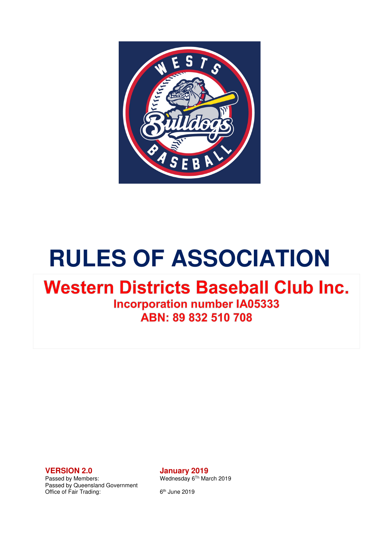

# **RULES OF ASSOCIATION**

## **Western Districts Baseball Club Inc.**

**Incorporation number IA05333** ABN: 89 832 510 708

Passed by Queensland Government Office of Fair Trading: 6<sup>th</sup> June 2019

**VERSION 2.0 January 2019**<br>Passed by Members: Wednesday 6<sup>Th</sup> Ma Wednesday 6<sup>Th</sup> March 2019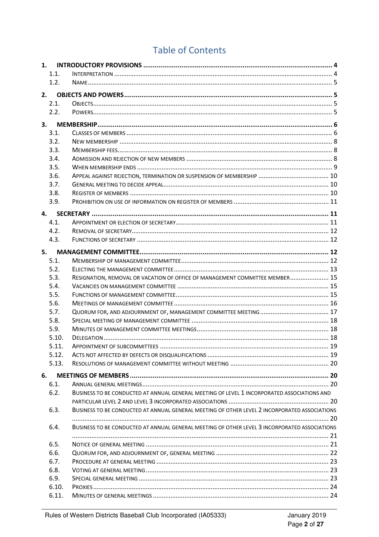### **Table of Contents**

| 1. |              |                                                                                               |  |
|----|--------------|-----------------------------------------------------------------------------------------------|--|
|    | 1.1.         |                                                                                               |  |
|    | 1.2.         |                                                                                               |  |
| 2. |              |                                                                                               |  |
|    | 2.1.         |                                                                                               |  |
|    | 2.2.         |                                                                                               |  |
|    |              |                                                                                               |  |
| 3. |              |                                                                                               |  |
|    | 3.1.         |                                                                                               |  |
|    | 3.2.         |                                                                                               |  |
|    | 3.3.         |                                                                                               |  |
|    | 3.4.         |                                                                                               |  |
|    | 3.5.         |                                                                                               |  |
|    | 3.6.         |                                                                                               |  |
|    | 3.7.         |                                                                                               |  |
|    | 3.8.         |                                                                                               |  |
|    | 3.9.         |                                                                                               |  |
| 4. |              |                                                                                               |  |
|    | 4.1.         |                                                                                               |  |
|    | 4.2.         |                                                                                               |  |
|    | 4.3.         |                                                                                               |  |
| 5. |              |                                                                                               |  |
|    | 5.1.         |                                                                                               |  |
|    | 5.2.         |                                                                                               |  |
|    | 5.3.         | RESIGNATION, REMOVAL OR VACATION OF OFFICE OF MANAGEMENT COMMITTEE MEMBER 15                  |  |
|    | 5.4.         |                                                                                               |  |
|    | 5.5.         |                                                                                               |  |
|    | 5.6.         |                                                                                               |  |
|    | 5.7.         |                                                                                               |  |
|    | 5.8.         |                                                                                               |  |
|    | 5.9.         |                                                                                               |  |
|    | 5.10.        |                                                                                               |  |
|    | 5.11.        |                                                                                               |  |
|    | 5.12.        |                                                                                               |  |
|    | 5.13.        |                                                                                               |  |
|    |              |                                                                                               |  |
| 6. |              |                                                                                               |  |
|    | 6.1.<br>6.2. |                                                                                               |  |
|    |              | BUSINESS TO BE CONDUCTED AT ANNUAL GENERAL MEETING OF LEVEL 1 INCORPORATED ASSOCIATIONS AND   |  |
|    | 6.3.         | BUSINESS TO BE CONDUCTED AT ANNUAL GENERAL MEETING OF OTHER LEVEL 2 INCORPORATED ASSOCIATIONS |  |
|    |              |                                                                                               |  |
|    | 6.4.         | BUSINESS TO BE CONDUCTED AT ANNUAL GENERAL MEETING OF OTHER LEVEL 3 INCORPORATED ASSOCIATIONS |  |
|    |              |                                                                                               |  |
|    | 6.5.         |                                                                                               |  |
|    | 6.6.         |                                                                                               |  |
|    | 6.7.         |                                                                                               |  |
|    | 6.8.         |                                                                                               |  |
|    | 6.9.         |                                                                                               |  |
|    | 6.10.        |                                                                                               |  |
|    | 6.11.        |                                                                                               |  |
|    |              |                                                                                               |  |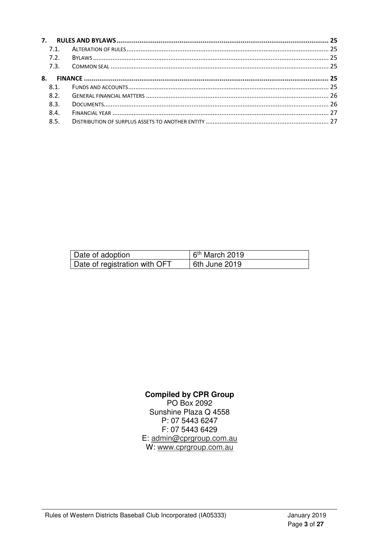|    | 7.1              |  |
|----|------------------|--|
|    | 7.2.             |  |
|    | 7.3.             |  |
| 8. |                  |  |
|    | 8.1              |  |
|    | 8.2 <sub>1</sub> |  |
|    | 8.3.             |  |
|    | 8.4.             |  |
|    | 8.5.             |  |
|    |                  |  |

| Date of adoption                           | $6th$ March 2019 |
|--------------------------------------------|------------------|
| <sup>1</sup> Date of registration with OFT | 6th June 2019    |

#### **Compiled by CPR Group**

PO Box 2092 Sunshine Plaza Q 4558 P: 07 5443 6247 F: 07 5443 6429 E: admin@cprgroup.com.au W: www.cprgroup.com.au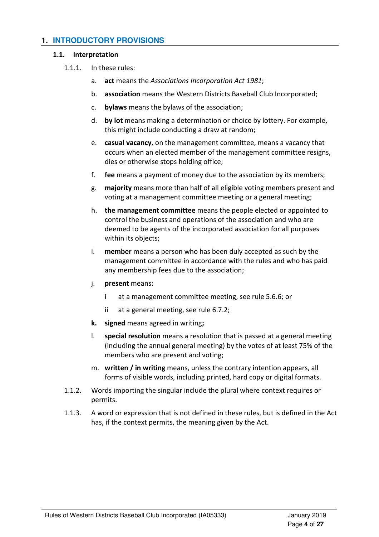#### **1. INTRODUCTORY PROVISIONS**

#### 1.1. Interpretation

- 1.1.1. In these rules:
	- a. act means the Associations Incorporation Act 1981;
	- b. association means the Western Districts Baseball Club Incorporated;
	- c. bylaws means the bylaws of the association;
	- d. by lot means making a determination or choice by lottery. For example, this might include conducting a draw at random;
	- e. casual vacancy, on the management committee, means a vacancy that occurs when an elected member of the management committee resigns, dies or otherwise stops holding office;
	- f. fee means a payment of money due to the association by its members;
	- g. majority means more than half of all eligible voting members present and voting at a management committee meeting or a general meeting;
	- h. the management committee means the people elected or appointed to control the business and operations of the association and who are deemed to be agents of the incorporated association for all purposes within its objects;
	- i. **member** means a person who has been duly accepted as such by the management committee in accordance with the rules and who has paid any membership fees due to the association;
	- j. present means:
		- i at a management committee meeting, see rule 5.6.6; or
		- ii at a general meeting, see rule 6.7.2;
	- k. signed means agreed in writing;
	- l. special resolution means a resolution that is passed at a general meeting (including the annual general meeting) by the votes of at least 75% of the members who are present and voting;
	- m. written / in writing means, unless the contrary intention appears, all forms of visible words, including printed, hard copy or digital formats.
- 1.1.2. Words importing the singular include the plural where context requires or permits.
- 1.1.3. A word or expression that is not defined in these rules, but is defined in the Act has, if the context permits, the meaning given by the Act.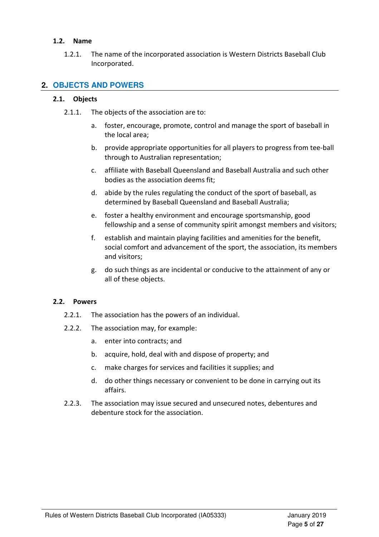#### 1.2. Name

1.2.1. The name of the incorporated association is Western Districts Baseball Club Incorporated.

#### **2. OBJECTS AND POWERS**

#### 2.1. Objects

- 2.1.1. The objects of the association are to:
	- a. foster, encourage, promote, control and manage the sport of baseball in the local area;
	- b. provide appropriate opportunities for all players to progress from tee-ball through to Australian representation;
	- c. affiliate with Baseball Queensland and Baseball Australia and such other bodies as the association deems fit;
	- d. abide by the rules regulating the conduct of the sport of baseball, as determined by Baseball Queensland and Baseball Australia;
	- e. foster a healthy environment and encourage sportsmanship, good fellowship and a sense of community spirit amongst members and visitors;
	- f. establish and maintain playing facilities and amenities for the benefit, social comfort and advancement of the sport, the association, its members and visitors;
	- g. do such things as are incidental or conducive to the attainment of any or all of these objects.

#### 2.2. Powers

- 2.2.1. The association has the powers of an individual.
- 2.2.2. The association may, for example:
	- a. enter into contracts; and
	- b. acquire, hold, deal with and dispose of property; and
	- c. make charges for services and facilities it supplies; and
	- d. do other things necessary or convenient to be done in carrying out its affairs.
- 2.2.3. The association may issue secured and unsecured notes, debentures and debenture stock for the association.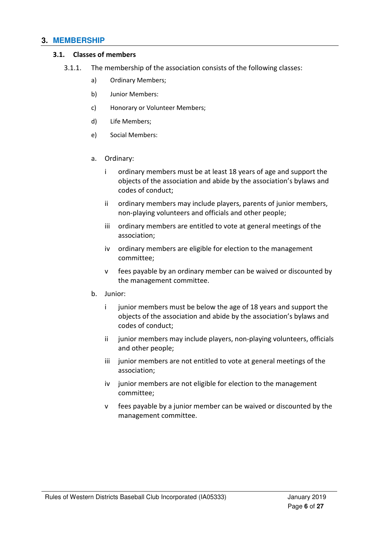#### **3. MEMBERSHIP**

#### 3.1. Classes of members

- 3.1.1. The membership of the association consists of the following classes:
	- a) Ordinary Members;
	- b) Junior Members:
	- c) Honorary or Volunteer Members;
	- d) Life Members;
	- e) Social Members:
	- a. Ordinary:
		- i ordinary members must be at least 18 years of age and support the objects of the association and abide by the association's bylaws and codes of conduct;
		- ii ordinary members may include players, parents of junior members, non-playing volunteers and officials and other people;
		- iii ordinary members are entitled to vote at general meetings of the association;
		- iv ordinary members are eligible for election to the management committee;
		- v fees payable by an ordinary member can be waived or discounted by the management committee.
	- b. Junior:
		- i junior members must be below the age of 18 years and support the objects of the association and abide by the association's bylaws and codes of conduct;
		- ii junior members may include players, non-playing volunteers, officials and other people;
		- iii junior members are not entitled to vote at general meetings of the association;
		- iv junior members are not eligible for election to the management committee;
		- v fees payable by a junior member can be waived or discounted by the management committee.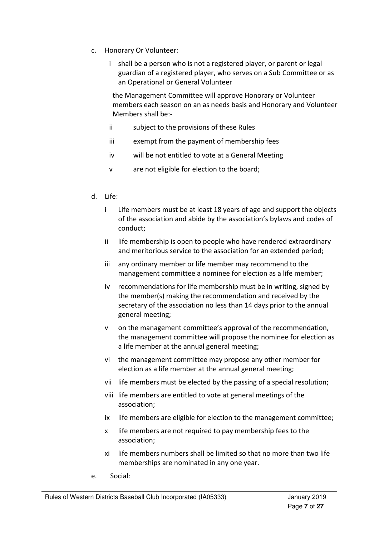- c. Honorary Or Volunteer:
	- i shall be a person who is not a registered player, or parent or legal guardian of a registered player, who serves on a Sub Committee or as an Operational or General Volunteer

the Management Committee will approve Honorary or Volunteer members each season on an as needs basis and Honorary and Volunteer Members shall be:-

- ii subject to the provisions of these Rules
- iii exempt from the payment of membership fees
- iv will be not entitled to vote at a General Meeting
- v are not eligible for election to the board;
- d. Life:
	- i Life members must be at least 18 years of age and support the objects of the association and abide by the association's bylaws and codes of conduct;
	- ii life membership is open to people who have rendered extraordinary and meritorious service to the association for an extended period;
	- iii any ordinary member or life member may recommend to the management committee a nominee for election as a life member;
	- iv recommendations for life membership must be in writing, signed by the member(s) making the recommendation and received by the secretary of the association no less than 14 days prior to the annual general meeting;
	- v on the management committee's approval of the recommendation, the management committee will propose the nominee for election as a life member at the annual general meeting;
	- vi the management committee may propose any other member for election as a life member at the annual general meeting;
	- vii life members must be elected by the passing of a special resolution;
	- viii life members are entitled to vote at general meetings of the association;
	- ix life members are eligible for election to the management committee;
	- x life members are not required to pay membership fees to the association;
	- xi life members numbers shall be limited so that no more than two life memberships are nominated in any one year.
- e. Social: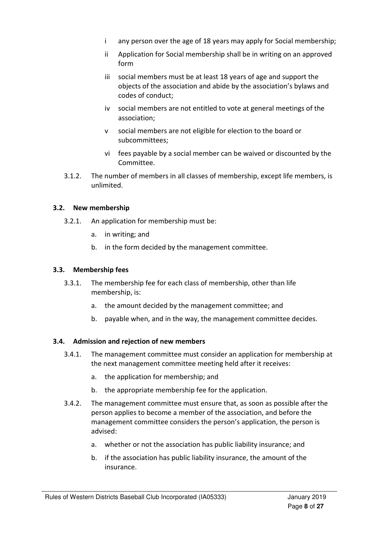- i any person over the age of 18 years may apply for Social membership;
- ii Application for Social membership shall be in writing on an approved form
- iii social members must be at least 18 years of age and support the objects of the association and abide by the association's bylaws and codes of conduct;
- iv social members are not entitled to vote at general meetings of the association;
- v social members are not eligible for election to the board or subcommittees;
- vi fees payable by a social member can be waived or discounted by the Committee.
- 3.1.2. The number of members in all classes of membership, except life members, is unlimited.

#### 3.2. New membership

- 3.2.1. An application for membership must be:
	- a. in writing; and
	- b. in the form decided by the management committee.

#### 3.3. Membership fees

- 3.3.1. The membership fee for each class of membership, other than life membership, is:
	- a. the amount decided by the management committee; and
	- b. payable when, and in the way, the management committee decides.

#### 3.4. Admission and rejection of new members

- 3.4.1. The management committee must consider an application for membership at the next management committee meeting held after it receives:
	- a. the application for membership; and
	- b. the appropriate membership fee for the application.
- 3.4.2. The management committee must ensure that, as soon as possible after the person applies to become a member of the association, and before the management committee considers the person's application, the person is advised:
	- a. whether or not the association has public liability insurance; and
	- b. if the association has public liability insurance, the amount of the insurance.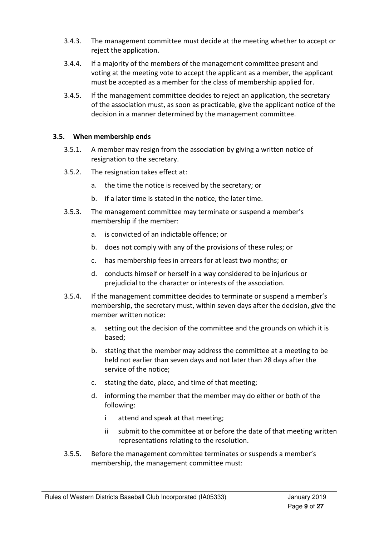- 3.4.3. The management committee must decide at the meeting whether to accept or reject the application.
- 3.4.4. If a majority of the members of the management committee present and voting at the meeting vote to accept the applicant as a member, the applicant must be accepted as a member for the class of membership applied for.
- 3.4.5. If the management committee decides to reject an application, the secretary of the association must, as soon as practicable, give the applicant notice of the decision in a manner determined by the management committee.

#### 3.5. When membership ends

- 3.5.1. A member may resign from the association by giving a written notice of resignation to the secretary.
- 3.5.2. The resignation takes effect at:
	- a. the time the notice is received by the secretary; or
	- b. if a later time is stated in the notice, the later time.
- 3.5.3. The management committee may terminate or suspend a member's membership if the member:
	- a. is convicted of an indictable offence; or
	- b. does not comply with any of the provisions of these rules; or
	- c. has membership fees in arrears for at least two months; or
	- d. conducts himself or herself in a way considered to be injurious or prejudicial to the character or interests of the association.
- 3.5.4. If the management committee decides to terminate or suspend a member's membership, the secretary must, within seven days after the decision, give the member written notice:
	- a. setting out the decision of the committee and the grounds on which it is based;
	- b. stating that the member may address the committee at a meeting to be held not earlier than seven days and not later than 28 days after the service of the notice;
	- c. stating the date, place, and time of that meeting;
	- d. informing the member that the member may do either or both of the following:
		- i attend and speak at that meeting;
		- ii submit to the committee at or before the date of that meeting written representations relating to the resolution.
- 3.5.5. Before the management committee terminates or suspends a member's membership, the management committee must: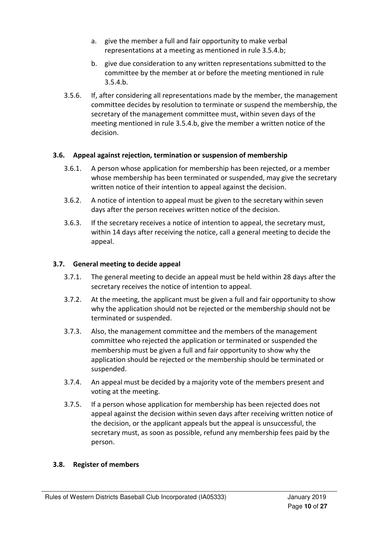- a. give the member a full and fair opportunity to make verbal representations at a meeting as mentioned in rule 3.5.4.b;
- b. give due consideration to any written representations submitted to the committee by the member at or before the meeting mentioned in rule  $3.5.4.b.$
- 3.5.6. If, after considering all representations made by the member, the management committee decides by resolution to terminate or suspend the membership, the secretary of the management committee must, within seven days of the meeting mentioned in rule 3.5.4.b, give the member a written notice of the decision.

#### 3.6. Appeal against rejection, termination or suspension of membership

- 3.6.1. A person whose application for membership has been rejected, or a member whose membership has been terminated or suspended, may give the secretary written notice of their intention to appeal against the decision.
- 3.6.2. A notice of intention to appeal must be given to the secretary within seven days after the person receives written notice of the decision.
- 3.6.3. If the secretary receives a notice of intention to appeal, the secretary must, within 14 days after receiving the notice, call a general meeting to decide the appeal.

#### 3.7. General meeting to decide appeal

- 3.7.1. The general meeting to decide an appeal must be held within 28 days after the secretary receives the notice of intention to appeal.
- 3.7.2. At the meeting, the applicant must be given a full and fair opportunity to show why the application should not be rejected or the membership should not be terminated or suspended.
- 3.7.3. Also, the management committee and the members of the management committee who rejected the application or terminated or suspended the membership must be given a full and fair opportunity to show why the application should be rejected or the membership should be terminated or suspended.
- 3.7.4. An appeal must be decided by a majority vote of the members present and voting at the meeting.
- 3.7.5. If a person whose application for membership has been rejected does not appeal against the decision within seven days after receiving written notice of the decision, or the applicant appeals but the appeal is unsuccessful, the secretary must, as soon as possible, refund any membership fees paid by the person.

#### 3.8. Register of members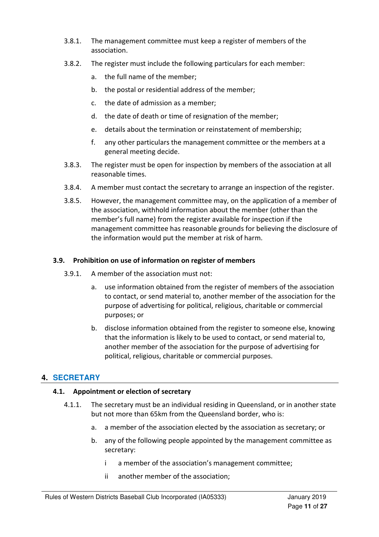- 3.8.1. The management committee must keep a register of members of the association.
- 3.8.2. The register must include the following particulars for each member:
	- a. the full name of the member;
	- b. the postal or residential address of the member;
	- c. the date of admission as a member;
	- d. the date of death or time of resignation of the member;
	- e. details about the termination or reinstatement of membership;
	- f. any other particulars the management committee or the members at a general meeting decide.
- 3.8.3. The register must be open for inspection by members of the association at all reasonable times.
- 3.8.4. A member must contact the secretary to arrange an inspection of the register.
- 3.8.5. However, the management committee may, on the application of a member of the association, withhold information about the member (other than the member's full name) from the register available for inspection if the management committee has reasonable grounds for believing the disclosure of the information would put the member at risk of harm.

#### 3.9. Prohibition on use of information on register of members

- 3.9.1. A member of the association must not:
	- a. use information obtained from the register of members of the association to contact, or send material to, another member of the association for the purpose of advertising for political, religious, charitable or commercial purposes; or
	- b. disclose information obtained from the register to someone else, knowing that the information is likely to be used to contact, or send material to, another member of the association for the purpose of advertising for political, religious, charitable or commercial purposes.

#### **4. SECRETARY**

#### 4.1. Appointment or election of secretary

- 4.1.1. The secretary must be an individual residing in Queensland, or in another state but not more than 65km from the Queensland border, who is:
	- a. a member of the association elected by the association as secretary; or
	- b. any of the following people appointed by the management committee as secretary:
		- i a member of the association's management committee;
		- ii another member of the association;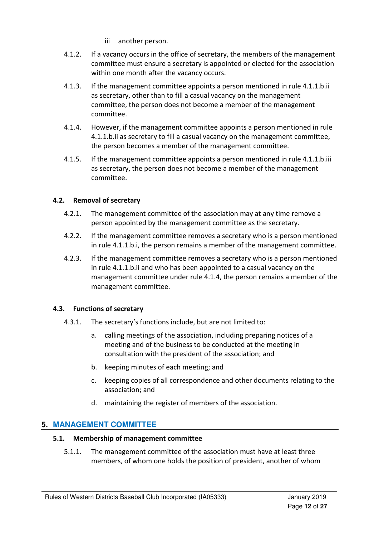- iii another person.
- 4.1.2. If a vacancy occurs in the office of secretary, the members of the management committee must ensure a secretary is appointed or elected for the association within one month after the vacancy occurs.
- 4.1.3. If the management committee appoints a person mentioned in rule 4.1.1.b.ii as secretary, other than to fill a casual vacancy on the management committee, the person does not become a member of the management committee.
- 4.1.4. However, if the management committee appoints a person mentioned in rule 4.1.1.b.ii as secretary to fill a casual vacancy on the management committee, the person becomes a member of the management committee.
- 4.1.5. If the management committee appoints a person mentioned in rule 4.1.1.b.iii as secretary, the person does not become a member of the management committee.

#### 4.2. Removal of secretary

- 4.2.1. The management committee of the association may at any time remove a person appointed by the management committee as the secretary.
- 4.2.2. If the management committee removes a secretary who is a person mentioned in rule 4.1.1.b.i, the person remains a member of the management committee.
- 4.2.3. If the management committee removes a secretary who is a person mentioned in rule 4.1.1.b.ii and who has been appointed to a casual vacancy on the management committee under rule 4.1.4, the person remains a member of the management committee.

#### 4.3. Functions of secretary

- 4.3.1. The secretary's functions include, but are not limited to:
	- a. calling meetings of the association, including preparing notices of a meeting and of the business to be conducted at the meeting in consultation with the president of the association; and
	- b. keeping minutes of each meeting; and
	- c. keeping copies of all correspondence and other documents relating to the association; and
	- d. maintaining the register of members of the association.

#### **5. MANAGEMENT COMMITTEE**

#### 5.1. Membership of management committee

5.1.1. The management committee of the association must have at least three members, of whom one holds the position of president, another of whom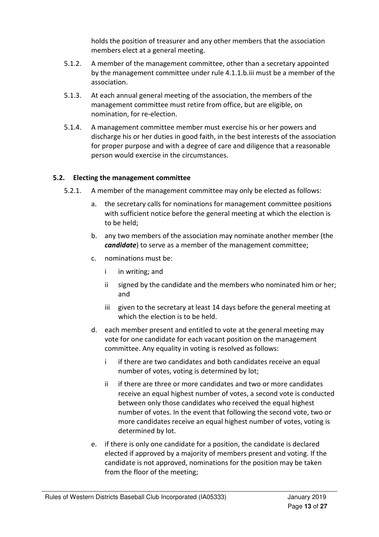holds the position of treasurer and any other members that the association members elect at a general meeting.

- 5.1.2. A member of the management committee, other than a secretary appointed by the management committee under rule 4.1.1.b.iii must be a member of the association.
- 5.1.3. At each annual general meeting of the association, the members of the management committee must retire from office, but are eligible, on nomination, for re-election.
- 5.1.4. A management committee member must exercise his or her powers and discharge his or her duties in good faith, in the best interests of the association for proper purpose and with a degree of care and diligence that a reasonable person would exercise in the circumstances.

#### 5.2. Electing the management committee

- 5.2.1. A member of the management committee may only be elected as follows:
	- a. the secretary calls for nominations for management committee positions with sufficient notice before the general meeting at which the election is to be held;
	- b. any two members of the association may nominate another member (the candidate) to serve as a member of the management committee;
	- c. nominations must be:
		- i in writing; and
		- ii signed by the candidate and the members who nominated him or her; and
		- iii given to the secretary at least 14 days before the general meeting at which the election is to be held.
	- d. each member present and entitled to vote at the general meeting may vote for one candidate for each vacant position on the management committee. Any equality in voting is resolved as follows:
		- i if there are two candidates and both candidates receive an equal number of votes, voting is determined by lot;
		- ii if there are three or more candidates and two or more candidates receive an equal highest number of votes, a second vote is conducted between only those candidates who received the equal highest number of votes. In the event that following the second vote, two or more candidates receive an equal highest number of votes, voting is determined by lot.
	- e. if there is only one candidate for a position, the candidate is declared elected if approved by a majority of members present and voting. If the candidate is not approved, nominations for the position may be taken from the floor of the meeting;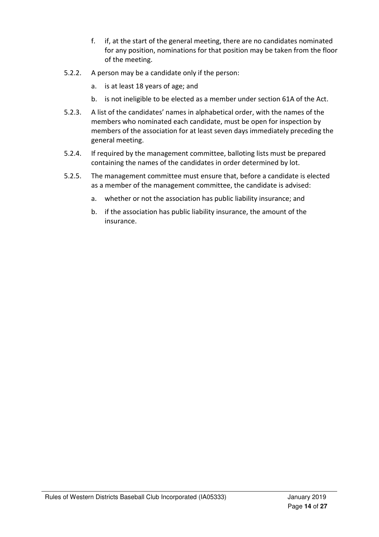- f. if, at the start of the general meeting, there are no candidates nominated for any position, nominations for that position may be taken from the floor of the meeting.
- 5.2.2. A person may be a candidate only if the person:
	- a. is at least 18 years of age; and
	- b. is not ineligible to be elected as a member under section 61A of the Act.
- 5.2.3. A list of the candidates' names in alphabetical order, with the names of the members who nominated each candidate, must be open for inspection by members of the association for at least seven days immediately preceding the general meeting.
- 5.2.4. If required by the management committee, balloting lists must be prepared containing the names of the candidates in order determined by lot.
- 5.2.5. The management committee must ensure that, before a candidate is elected as a member of the management committee, the candidate is advised:
	- a. whether or not the association has public liability insurance; and
	- b. if the association has public liability insurance, the amount of the insurance.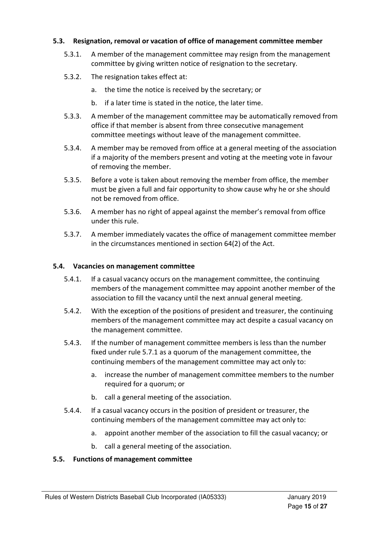#### 5.3. Resignation, removal or vacation of office of management committee member

- 5.3.1. A member of the management committee may resign from the management committee by giving written notice of resignation to the secretary.
- 5.3.2. The resignation takes effect at:
	- a. the time the notice is received by the secretary; or
	- b. if a later time is stated in the notice, the later time.
- 5.3.3. A member of the management committee may be automatically removed from office if that member is absent from three consecutive management committee meetings without leave of the management committee.
- 5.3.4. A member may be removed from office at a general meeting of the association if a majority of the members present and voting at the meeting vote in favour of removing the member.
- 5.3.5. Before a vote is taken about removing the member from office, the member must be given a full and fair opportunity to show cause why he or she should not be removed from office.
- 5.3.6. A member has no right of appeal against the member's removal from office under this rule.
- 5.3.7. A member immediately vacates the office of management committee member in the circumstances mentioned in section 64(2) of the Act.

#### 5.4. Vacancies on management committee

- 5.4.1. If a casual vacancy occurs on the management committee, the continuing members of the management committee may appoint another member of the association to fill the vacancy until the next annual general meeting.
- 5.4.2. With the exception of the positions of president and treasurer, the continuing members of the management committee may act despite a casual vacancy on the management committee.
- 5.4.3. If the number of management committee members is less than the number fixed under rule 5.7.1 as a quorum of the management committee, the continuing members of the management committee may act only to:
	- a. increase the number of management committee members to the number required for a quorum; or
	- b. call a general meeting of the association.
- 5.4.4. If a casual vacancy occurs in the position of president or treasurer, the continuing members of the management committee may act only to:
	- a. appoint another member of the association to fill the casual vacancy; or
	- b. call a general meeting of the association.

#### 5.5. Functions of management committee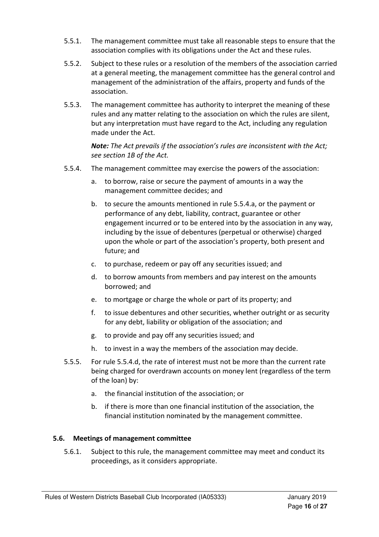- 5.5.1. The management committee must take all reasonable steps to ensure that the association complies with its obligations under the Act and these rules.
- 5.5.2. Subject to these rules or a resolution of the members of the association carried at a general meeting, the management committee has the general control and management of the administration of the affairs, property and funds of the association.
- 5.5.3. The management committee has authority to interpret the meaning of these rules and any matter relating to the association on which the rules are silent, but any interpretation must have regard to the Act, including any regulation made under the Act.

Note: The Act prevails if the association's rules are inconsistent with the Act; see section 1B of the Act.

- 5.5.4. The management committee may exercise the powers of the association:
	- a. to borrow, raise or secure the payment of amounts in a way the management committee decides; and
	- b. to secure the amounts mentioned in rule 5.5.4.a, or the payment or performance of any debt, liability, contract, guarantee or other engagement incurred or to be entered into by the association in any way, including by the issue of debentures (perpetual or otherwise) charged upon the whole or part of the association's property, both present and future; and
	- c. to purchase, redeem or pay off any securities issued; and
	- d. to borrow amounts from members and pay interest on the amounts borrowed; and
	- e. to mortgage or charge the whole or part of its property; and
	- f. to issue debentures and other securities, whether outright or as security for any debt, liability or obligation of the association; and
	- g. to provide and pay off any securities issued; and
	- h. to invest in a way the members of the association may decide.
- 5.5.5. For rule 5.5.4.d, the rate of interest must not be more than the current rate being charged for overdrawn accounts on money lent (regardless of the term of the loan) by:
	- a. the financial institution of the association; or
	- b. if there is more than one financial institution of the association, the financial institution nominated by the management committee.

#### 5.6. Meetings of management committee

5.6.1. Subject to this rule, the management committee may meet and conduct its proceedings, as it considers appropriate.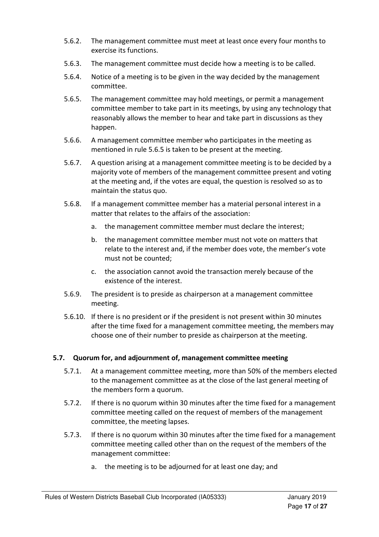- 5.6.2. The management committee must meet at least once every four months to exercise its functions.
- 5.6.3. The management committee must decide how a meeting is to be called.
- 5.6.4. Notice of a meeting is to be given in the way decided by the management committee.
- 5.6.5. The management committee may hold meetings, or permit a management committee member to take part in its meetings, by using any technology that reasonably allows the member to hear and take part in discussions as they happen.
- 5.6.6. A management committee member who participates in the meeting as mentioned in rule 5.6.5 is taken to be present at the meeting.
- 5.6.7. A question arising at a management committee meeting is to be decided by a majority vote of members of the management committee present and voting at the meeting and, if the votes are equal, the question is resolved so as to maintain the status quo.
- 5.6.8. If a management committee member has a material personal interest in a matter that relates to the affairs of the association:
	- a. the management committee member must declare the interest;
	- b. the management committee member must not vote on matters that relate to the interest and, if the member does vote, the member's vote must not be counted;
	- c. the association cannot avoid the transaction merely because of the existence of the interest.
- 5.6.9. The president is to preside as chairperson at a management committee meeting.
- 5.6.10. If there is no president or if the president is not present within 30 minutes after the time fixed for a management committee meeting, the members may choose one of their number to preside as chairperson at the meeting.

#### 5.7. Quorum for, and adjournment of, management committee meeting

- 5.7.1. At a management committee meeting, more than 50% of the members elected to the management committee as at the close of the last general meeting of the members form a quorum.
- 5.7.2. If there is no quorum within 30 minutes after the time fixed for a management committee meeting called on the request of members of the management committee, the meeting lapses.
- 5.7.3. If there is no quorum within 30 minutes after the time fixed for a management committee meeting called other than on the request of the members of the management committee:
	- a. the meeting is to be adjourned for at least one day; and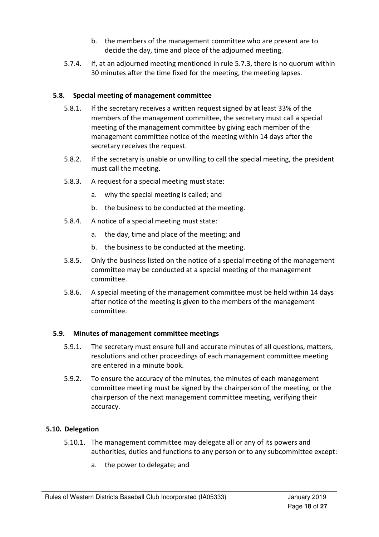- b. the members of the management committee who are present are to decide the day, time and place of the adjourned meeting.
- 5.7.4. If, at an adjourned meeting mentioned in rule 5.7.3, there is no quorum within 30 minutes after the time fixed for the meeting, the meeting lapses.

#### 5.8. Special meeting of management committee

- 5.8.1. If the secretary receives a written request signed by at least 33% of the members of the management committee, the secretary must call a special meeting of the management committee by giving each member of the management committee notice of the meeting within 14 days after the secretary receives the request.
- 5.8.2. If the secretary is unable or unwilling to call the special meeting, the president must call the meeting.
- 5.8.3. A request for a special meeting must state:
	- a. why the special meeting is called; and
	- b. the business to be conducted at the meeting.
- 5.8.4. A notice of a special meeting must state:
	- a. the day, time and place of the meeting; and
	- b. the business to be conducted at the meeting.
- 5.8.5. Only the business listed on the notice of a special meeting of the management committee may be conducted at a special meeting of the management committee.
- 5.8.6. A special meeting of the management committee must be held within 14 days after notice of the meeting is given to the members of the management committee.

#### 5.9. Minutes of management committee meetings

- 5.9.1. The secretary must ensure full and accurate minutes of all questions, matters, resolutions and other proceedings of each management committee meeting are entered in a minute book.
- 5.9.2. To ensure the accuracy of the minutes, the minutes of each management committee meeting must be signed by the chairperson of the meeting, or the chairperson of the next management committee meeting, verifying their accuracy.

#### 5.10. Delegation

- 5.10.1. The management committee may delegate all or any of its powers and authorities, duties and functions to any person or to any subcommittee except:
	- a. the power to delegate; and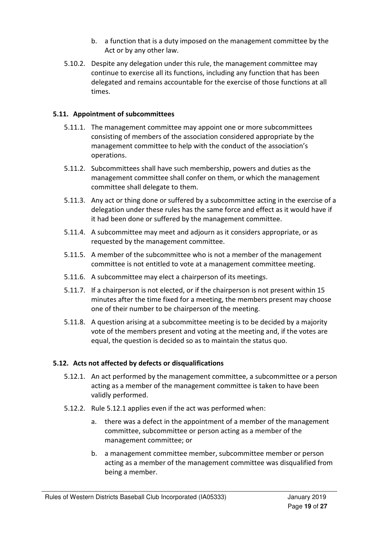- b. a function that is a duty imposed on the management committee by the Act or by any other law.
- 5.10.2. Despite any delegation under this rule, the management committee may continue to exercise all its functions, including any function that has been delegated and remains accountable for the exercise of those functions at all times.

#### 5.11. Appointment of subcommittees

- 5.11.1. The management committee may appoint one or more subcommittees consisting of members of the association considered appropriate by the management committee to help with the conduct of the association's operations.
- 5.11.2. Subcommittees shall have such membership, powers and duties as the management committee shall confer on them, or which the management committee shall delegate to them.
- 5.11.3. Any act or thing done or suffered by a subcommittee acting in the exercise of a delegation under these rules has the same force and effect as it would have if it had been done or suffered by the management committee.
- 5.11.4. A subcommittee may meet and adjourn as it considers appropriate, or as requested by the management committee.
- 5.11.5. A member of the subcommittee who is not a member of the management committee is not entitled to vote at a management committee meeting.
- 5.11.6. A subcommittee may elect a chairperson of its meetings.
- 5.11.7. If a chairperson is not elected, or if the chairperson is not present within 15 minutes after the time fixed for a meeting, the members present may choose one of their number to be chairperson of the meeting.
- 5.11.8. A question arising at a subcommittee meeting is to be decided by a majority vote of the members present and voting at the meeting and, if the votes are equal, the question is decided so as to maintain the status quo.

#### 5.12. Acts not affected by defects or disqualifications

- 5.12.1. An act performed by the management committee, a subcommittee or a person acting as a member of the management committee is taken to have been validly performed.
- 5.12.2. Rule 5.12.1 applies even if the act was performed when:
	- a. there was a defect in the appointment of a member of the management committee, subcommittee or person acting as a member of the management committee; or
	- b. a management committee member, subcommittee member or person acting as a member of the management committee was disqualified from being a member.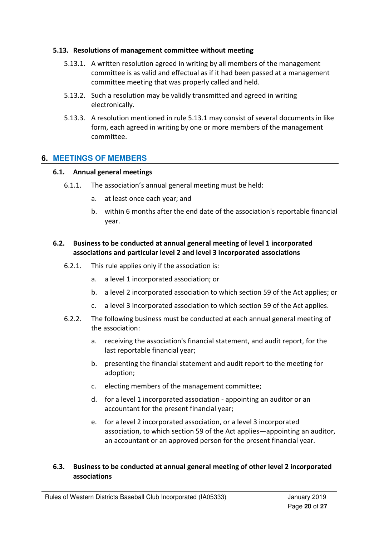#### 5.13. Resolutions of management committee without meeting

- 5.13.1. A written resolution agreed in writing by all members of the management committee is as valid and effectual as if it had been passed at a management committee meeting that was properly called and held.
- 5.13.2. Such a resolution may be validly transmitted and agreed in writing electronically.
- 5.13.3. A resolution mentioned in rule 5.13.1 may consist of several documents in like form, each agreed in writing by one or more members of the management committee.

#### **6. MEETINGS OF MEMBERS**

#### 6.1. Annual general meetings

- 6.1.1. The association's annual general meeting must be held:
	- a. at least once each year; and
	- b. within 6 months after the end date of the association's reportable financial year.

#### 6.2. Business to be conducted at annual general meeting of level 1 incorporated associations and particular level 2 and level 3 incorporated associations

- 6.2.1. This rule applies only if the association is:
	- a. a level 1 incorporated association; or
	- b. a level 2 incorporated association to which section 59 of the Act applies; or
	- c. a level 3 incorporated association to which section 59 of the Act applies.
- 6.2.2. The following business must be conducted at each annual general meeting of the association:
	- a. receiving the association's financial statement, and audit report, for the last reportable financial year;
	- b. presenting the financial statement and audit report to the meeting for adoption;
	- c. electing members of the management committee;
	- d. for a level 1 incorporated association appointing an auditor or an accountant for the present financial year;
	- e. for a level 2 incorporated association, or a level 3 incorporated association, to which section 59 of the Act applies—appointing an auditor, an accountant or an approved person for the present financial year.

#### 6.3. Business to be conducted at annual general meeting of other level 2 incorporated associations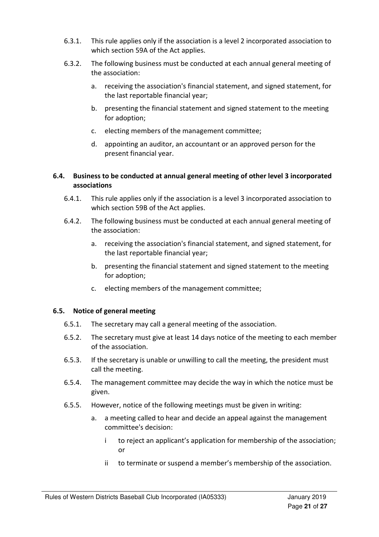- 6.3.1. This rule applies only if the association is a level 2 incorporated association to which section 59A of the Act applies.
- 6.3.2. The following business must be conducted at each annual general meeting of the association:
	- a. receiving the association's financial statement, and signed statement, for the last reportable financial year;
	- b. presenting the financial statement and signed statement to the meeting for adoption;
	- c. electing members of the management committee;
	- d. appointing an auditor, an accountant or an approved person for the present financial year.

#### 6.4. Business to be conducted at annual general meeting of other level 3 incorporated associations

- 6.4.1. This rule applies only if the association is a level 3 incorporated association to which section 59B of the Act applies.
- 6.4.2. The following business must be conducted at each annual general meeting of the association:
	- a. receiving the association's financial statement, and signed statement, for the last reportable financial year;
	- b. presenting the financial statement and signed statement to the meeting for adoption;
	- c. electing members of the management committee;

#### 6.5. Notice of general meeting

- 6.5.1. The secretary may call a general meeting of the association.
- 6.5.2. The secretary must give at least 14 days notice of the meeting to each member of the association.
- 6.5.3. If the secretary is unable or unwilling to call the meeting, the president must call the meeting.
- 6.5.4. The management committee may decide the way in which the notice must be given.
- 6.5.5. However, notice of the following meetings must be given in writing:
	- a. a meeting called to hear and decide an appeal against the management committee's decision:
		- i to reject an applicant's application for membership of the association; or
		- ii to terminate or suspend a member's membership of the association.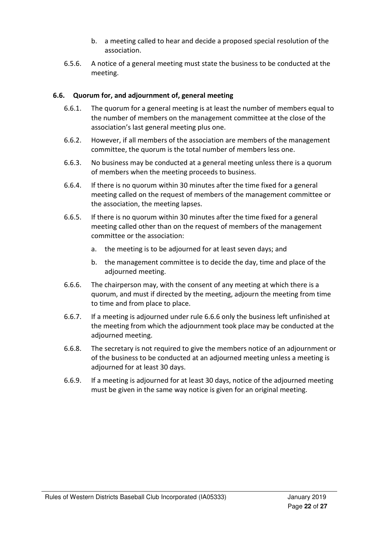- b. a meeting called to hear and decide a proposed special resolution of the association.
- 6.5.6. A notice of a general meeting must state the business to be conducted at the meeting.

#### 6.6. Quorum for, and adjournment of, general meeting

- 6.6.1. The quorum for a general meeting is at least the number of members equal to the number of members on the management committee at the close of the association's last general meeting plus one.
- 6.6.2. However, if all members of the association are members of the management committee, the quorum is the total number of members less one.
- 6.6.3. No business may be conducted at a general meeting unless there is a quorum of members when the meeting proceeds to business.
- 6.6.4. If there is no quorum within 30 minutes after the time fixed for a general meeting called on the request of members of the management committee or the association, the meeting lapses.
- 6.6.5. If there is no quorum within 30 minutes after the time fixed for a general meeting called other than on the request of members of the management committee or the association:
	- a. the meeting is to be adjourned for at least seven days; and
	- b. the management committee is to decide the day, time and place of the adjourned meeting.
- 6.6.6. The chairperson may, with the consent of any meeting at which there is a quorum, and must if directed by the meeting, adjourn the meeting from time to time and from place to place.
- 6.6.7. If a meeting is adjourned under rule 6.6.6 only the business left unfinished at the meeting from which the adjournment took place may be conducted at the adjourned meeting.
- 6.6.8. The secretary is not required to give the members notice of an adjournment or of the business to be conducted at an adjourned meeting unless a meeting is adjourned for at least 30 days.
- 6.6.9. If a meeting is adjourned for at least 30 days, notice of the adjourned meeting must be given in the same way notice is given for an original meeting.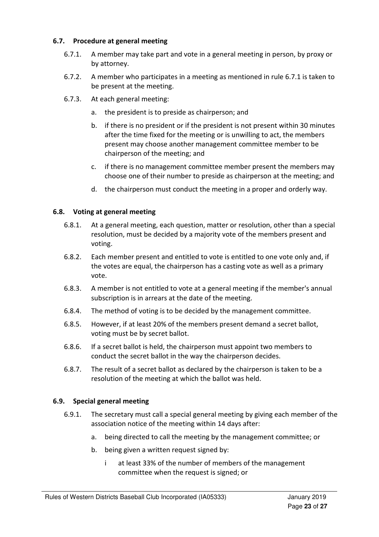#### 6.7. Procedure at general meeting

- 6.7.1. A member may take part and vote in a general meeting in person, by proxy or by attorney.
- 6.7.2. A member who participates in a meeting as mentioned in rule 6.7.1 is taken to be present at the meeting.
- 6.7.3. At each general meeting:
	- a. the president is to preside as chairperson; and
	- b. if there is no president or if the president is not present within 30 minutes after the time fixed for the meeting or is unwilling to act, the members present may choose another management committee member to be chairperson of the meeting; and
	- c. if there is no management committee member present the members may choose one of their number to preside as chairperson at the meeting; and
	- d. the chairperson must conduct the meeting in a proper and orderly way.

#### 6.8. Voting at general meeting

- 6.8.1. At a general meeting, each question, matter or resolution, other than a special resolution, must be decided by a majority vote of the members present and voting.
- 6.8.2. Each member present and entitled to vote is entitled to one vote only and, if the votes are equal, the chairperson has a casting vote as well as a primary vote.
- 6.8.3. A member is not entitled to vote at a general meeting if the member's annual subscription is in arrears at the date of the meeting.
- 6.8.4. The method of voting is to be decided by the management committee.
- 6.8.5. However, if at least 20% of the members present demand a secret ballot, voting must be by secret ballot.
- 6.8.6. If a secret ballot is held, the chairperson must appoint two members to conduct the secret ballot in the way the chairperson decides.
- 6.8.7. The result of a secret ballot as declared by the chairperson is taken to be a resolution of the meeting at which the ballot was held.

#### 6.9. Special general meeting

- 6.9.1. The secretary must call a special general meeting by giving each member of the association notice of the meeting within 14 days after:
	- a. being directed to call the meeting by the management committee; or
	- b. being given a written request signed by:
		- i at least 33% of the number of members of the management committee when the request is signed; or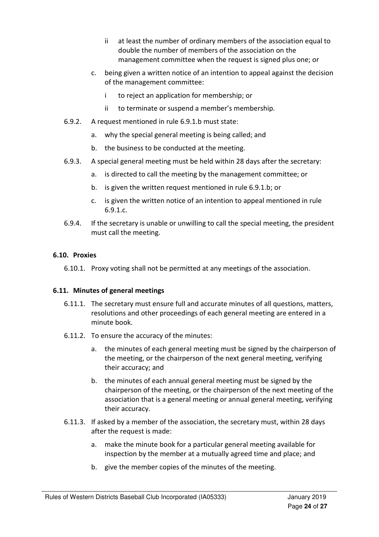- ii at least the number of ordinary members of the association equal to double the number of members of the association on the management committee when the request is signed plus one; or
- c. being given a written notice of an intention to appeal against the decision of the management committee:
	- i to reject an application for membership; or
	- ii to terminate or suspend a member's membership.
- 6.9.2. A request mentioned in rule 6.9.1.b must state:
	- a. why the special general meeting is being called; and
	- b. the business to be conducted at the meeting.
- 6.9.3. A special general meeting must be held within 28 days after the secretary:
	- a. is directed to call the meeting by the management committee; or
	- b. is given the written request mentioned in rule 6.9.1.b; or
	- c. is given the written notice of an intention to appeal mentioned in rule 6.9.1.c.
- 6.9.4. If the secretary is unable or unwilling to call the special meeting, the president must call the meeting.

#### 6.10. Proxies

6.10.1. Proxy voting shall not be permitted at any meetings of the association.

#### 6.11. Minutes of general meetings

- 6.11.1. The secretary must ensure full and accurate minutes of all questions, matters, resolutions and other proceedings of each general meeting are entered in a minute book.
- 6.11.2. To ensure the accuracy of the minutes:
	- a. the minutes of each general meeting must be signed by the chairperson of the meeting, or the chairperson of the next general meeting, verifying their accuracy; and
	- b. the minutes of each annual general meeting must be signed by the chairperson of the meeting, or the chairperson of the next meeting of the association that is a general meeting or annual general meeting, verifying their accuracy.
- 6.11.3. If asked by a member of the association, the secretary must, within 28 days after the request is made:
	- a. make the minute book for a particular general meeting available for inspection by the member at a mutually agreed time and place; and
	- b. give the member copies of the minutes of the meeting.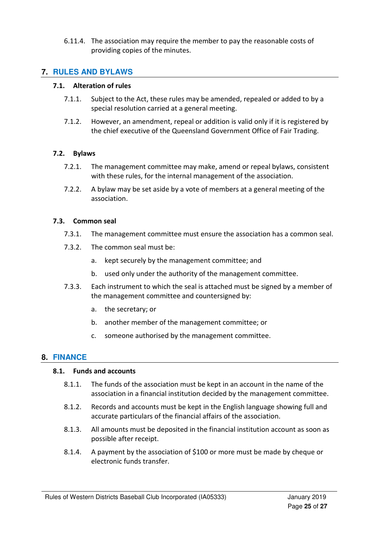6.11.4. The association may require the member to pay the reasonable costs of providing copies of the minutes.

#### **7. RULES AND BYLAWS**

#### 7.1. Alteration of rules

- 7.1.1. Subject to the Act, these rules may be amended, repealed or added to by a special resolution carried at a general meeting.
- 7.1.2. However, an amendment, repeal or addition is valid only if it is registered by the chief executive of the Queensland Government Office of Fair Trading.

#### 7.2. Bylaws

- 7.2.1. The management committee may make, amend or repeal bylaws, consistent with these rules, for the internal management of the association.
- 7.2.2. A bylaw may be set aside by a vote of members at a general meeting of the association.

#### 7.3. Common seal

- 7.3.1. The management committee must ensure the association has a common seal.
- 7.3.2. The common seal must be:
	- a. kept securely by the management committee; and
	- b. used only under the authority of the management committee.
- 7.3.3. Each instrument to which the seal is attached must be signed by a member of the management committee and countersigned by:
	- a. the secretary; or
	- b. another member of the management committee; or
	- c. someone authorised by the management committee.

#### **8. FINANCE**

#### 8.1. Funds and accounts

- 8.1.1. The funds of the association must be kept in an account in the name of the association in a financial institution decided by the management committee.
- 8.1.2. Records and accounts must be kept in the English language showing full and accurate particulars of the financial affairs of the association.
- 8.1.3. All amounts must be deposited in the financial institution account as soon as possible after receipt.
- 8.1.4. A payment by the association of \$100 or more must be made by cheque or electronic funds transfer.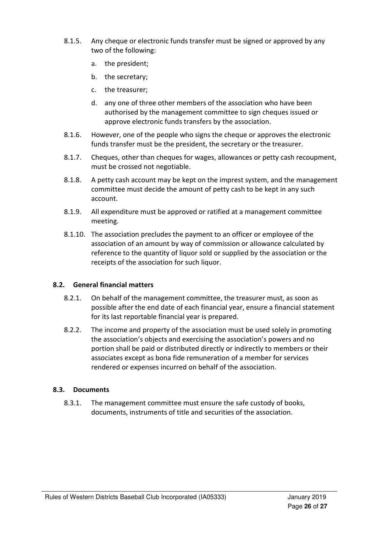- 8.1.5. Any cheque or electronic funds transfer must be signed or approved by any two of the following:
	- a. the president;
	- b. the secretary;
	- c. the treasurer;
	- d. any one of three other members of the association who have been authorised by the management committee to sign cheques issued or approve electronic funds transfers by the association.
- 8.1.6. However, one of the people who signs the cheque or approves the electronic funds transfer must be the president, the secretary or the treasurer.
- 8.1.7. Cheques, other than cheques for wages, allowances or petty cash recoupment, must be crossed not negotiable.
- 8.1.8. A petty cash account may be kept on the imprest system, and the management committee must decide the amount of petty cash to be kept in any such account.
- 8.1.9. All expenditure must be approved or ratified at a management committee meeting.
- 8.1.10. The association precludes the payment to an officer or employee of the association of an amount by way of commission or allowance calculated by reference to the quantity of liquor sold or supplied by the association or the receipts of the association for such liquor.

#### 8.2. General financial matters

- 8.2.1. On behalf of the management committee, the treasurer must, as soon as possible after the end date of each financial year, ensure a financial statement for its last reportable financial year is prepared.
- 8.2.2. The income and property of the association must be used solely in promoting the association's objects and exercising the association's powers and no portion shall be paid or distributed directly or indirectly to members or their associates except as bona fide remuneration of a member for services rendered or expenses incurred on behalf of the association.

#### 8.3. Documents

8.3.1. The management committee must ensure the safe custody of books, documents, instruments of title and securities of the association.